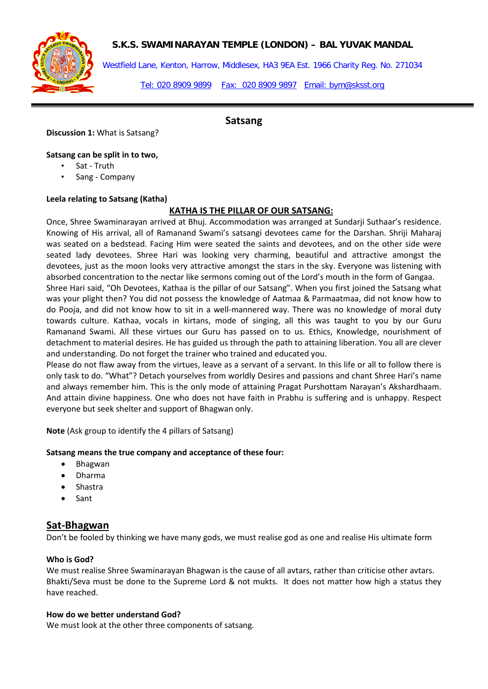

## **S.K.S. SWAMINARAYAN TEMPLE (LONDON) – BAL YUVAK MANDAL**

Westfield Lane, Kenton, Harrow, Middlesex, HA3 9EA Est. 1966 Charity Reg. No. 271034

Tel: 020 8909 9899 Fax: 020 8909 9897 Email: bym@sksst.org

#### **Discussion 1:** What is Satsang?

# **Satsang**

## **Satsang can be split in to two,**

- Sat Truth
- Sang Company

#### **Leela relating to Satsang (Katha)**

# **KATHA IS THE PILLAR OF OUR SATSANG:**

Once, Shree Swaminarayan arrived at Bhuj. Accommodation was arranged at Sundarji Suthaar's residence. Knowing of His arrival, all of Ramanand Swami's satsangi devotees came for the Darshan. Shriji Maharaj was seated on a bedstead. Facing Him were seated the saints and devotees, and on the other side were seated lady devotees. Shree Hari was looking very charming, beautiful and attractive amongst the devotees, just as the moon looks very attractive amongst the stars in the sky. Everyone was listening with absorbed concentration to the nectar like sermons coming out of the Lord's mouth in the form of Gangaa.

Shree Hari said, "Oh Devotees, Kathaa is the pillar of our Satsang". When you first joined the Satsang what was your plight then? You did not possess the knowledge of Aatmaa & Parmaatmaa, did not know how to do Pooja, and did not know how to sit in a well-mannered way. There was no knowledge of moral duty towards culture. Kathaa, vocals in kirtans, mode of singing, all this was taught to you by our Guru Ramanand Swami. All these virtues our Guru has passed on to us. Ethics, Knowledge, nourishment of detachment to material desires. He has guided us through the path to attaining liberation. You all are clever and understanding. Do not forget the trainer who trained and educated you.

Please do not flaw away from the virtues, leave as a servant of a servant. In this life or all to follow there is only task to do. "What"? Detach yourselves from worldly Desires and passions and chant Shree Hari's name and always remember him. This is the only mode of attaining Pragat Purshottam Narayan's Akshardhaam. And attain divine happiness. One who does not have faith in Prabhu is suffering and is unhappy. Respect everyone but seek shelter and support of Bhagwan only.

**Note** (Ask group to identify the 4 pillars of Satsang)

#### **Satsang means the true company and acceptance of these four:**

- Bhagwan
- Dharma
- Shastra
- Sant

# **Sat-Bhagwan**

Don't be fooled by thinking we have many gods, we must realise god as one and realise His ultimate form

### **Who is God?**

We must realise Shree Swaminarayan Bhagwan is the cause of all avtars, rather than criticise other avtars. Bhakti/Seva must be done to the Supreme Lord & not mukts. It does not matter how high a status they have reached.

#### **How do we better understand God?**

We must look at the other three components of satsang.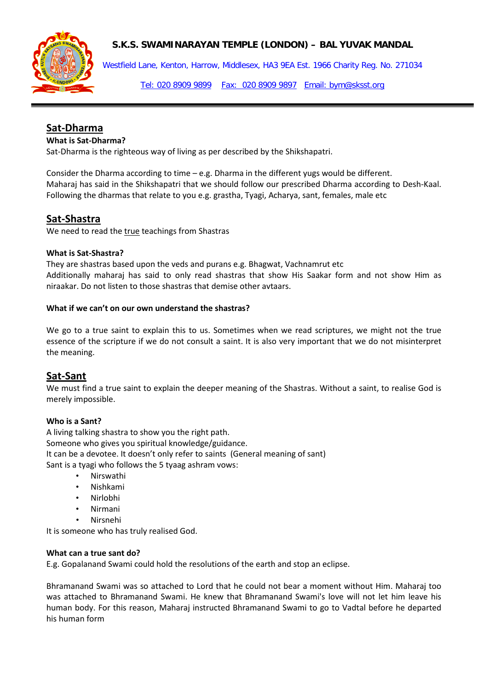



Westfield Lane, Kenton, Harrow, Middlesex, HA3 9EA Est. 1966 Charity Reg. No. 271034

Tel: 020 8909 9899 Fax: 020 8909 9897 Email: bym@sksst.org

# **Sat-Dharma**

#### **What is Sat-Dharma?**

Sat-Dharma is the righteous way of living as per described by the Shikshapatri.

Consider the Dharma according to time – e.g. Dharma in the different yugs would be different. Maharaj has said in the Shikshapatri that we should follow our prescribed Dharma according to Desh-Kaal. Following the dharmas that relate to you e.g. grastha, Tyagi, Acharya, sant, females, male etc

# **Sat-Shastra**

We need to read the true teachings from Shastras

#### **What is Sat-Shastra?**

They are shastras based upon the veds and purans e.g. Bhagwat, Vachnamrut etc Additionally maharaj has said to only read shastras that show His Saakar form and not show Him as niraakar. Do not listen to those shastras that demise other avtaars.

#### **What if we can't on our own understand the shastras?**

We go to a true saint to explain this to us. Sometimes when we read scriptures, we might not the true essence of the scripture if we do not consult a saint. It is also very important that we do not misinterpret the meaning.

# **Sat-Sant**

We must find a true saint to explain the deeper meaning of the Shastras. Without a saint, to realise God is merely impossible.

#### **Who is a Sant?**

A living talking shastra to show you the right path. Someone who gives you spiritual knowledge/guidance. It can be a devotee. It doesn't only refer to saints (General meaning of sant) Sant is a tyagi who follows the 5 tyaag ashram vows:

- Nirswathi
- Nishkami
- Nirlobhi
- Nirmani
- Nirsnehi

It is someone who has truly realised God.

#### **What can a true sant do?**

E.g. Gopalanand Swami could hold the resolutions of the earth and stop an eclipse.

Bhramanand Swami was so attached to Lord that he could not bear a moment without Him. Maharaj too was attached to Bhramanand Swami. He knew that Bhramanand Swami's love will not let him leave his human body. For this reason, Maharaj instructed Bhramanand Swami to go to Vadtal before he departed his human form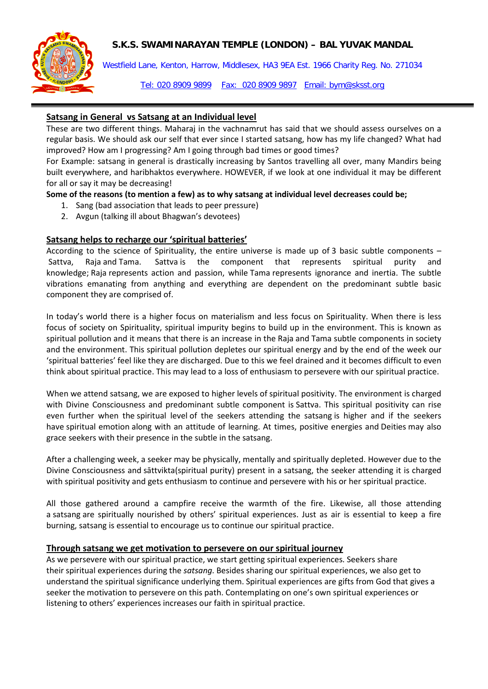# **S.K.S. SWAMINARAYAN TEMPLE (LONDON) – BAL YUVAK MANDAL**



Westfield Lane, Kenton, Harrow, Middlesex, HA3 9EA Est. 1966 Charity Reg. No. 271034

Tel: 020 8909 9899 Fax: 020 8909 9897 Email: bym@sksst.org

# **Satsang in General vs Satsang at an Individual level**

These are two different things. Maharaj in the vachnamrut has said that we should assess ourselves on a regular basis. We should ask our self that ever since I started satsang, how has my life changed? What had improved? How am I progressing? Am I going through bad times or good times?

For Example: satsang in general is drastically increasing by Santos travelling all over, many Mandirs being built everywhere, and haribhaktos everywhere. HOWEVER, if we look at one individual it may be different for all or say it may be decreasing!

#### **Some of the reasons (to mention a few) as to why satsang at individual level decreases could be;**

- 1. Sang (bad association that leads to peer pressure)
- 2. Avgun (talking ill about Bhagwan's devotees)

### **Satsang helps to recharge our 'spiritual batteries'**

According to the science of Spirituality, the entire universe is made up of [3 basic subtle components –](http://www.spiritualresearchfoundation.org/articles/id/spiritualresearch/spiritualscience/sattva_raja_tama) [Sattva, Raja](http://www.spiritualresearchfoundation.org/articles/id/spiritualresearch/spiritualscience/sattva_raja_tama) and Tama. Sattva is the component that represents spiritual purity and knowledge; Raja represents action and passion, while Tama represents ignorance and inertia. The subtle vibrations emanating from anything and everything are dependent on the predominant subtle basic component they are comprised of.

In today's world there is a higher focus on materialism and less focus on Spirituality. When there is less focus of society on Spirituality, spiritual impurity begins to build up in the environment. This is known as spiritual pollution and it means that there is an increase in the Raja and [Tama](http://www.spiritualresearchfoundation.org/articles/id/spiritualresearch/spiritualscience/sattva_raja_tama) subtle components in society and the environment. This spiritual pollution depletes our spiritual energy and by the end of the week our 'spiritual batteries' feel like they are discharged. Due to this we feel drained and it becomes difficult to even think about spiritual practice. This may lead to a loss of enthusiasm to persevere with our spiritual practice.

When we attend satsang, we are exposed to higher levels of spiritual positivity. The environment is charged with Divine Consciousness and predominant subtle component is [Sattva.](http://www.spiritualresearchfoundation.org/articles/id/spiritualresearch/spiritualscience/sattva_raja_tama) This spiritual positivity can rise even further when the [spiritual level](http://www.spiritualresearchfoundation.org/articles/id/spiritual-level) of the seekers attending the satsang is higher and if the seekers have [spiritual emotion](http://www.spiritualresearchfoundation.org/articles/id/aboutspiritualresearch/SpiritualPractice/spiritualemotion) along with an attitude of learning. At times, positive energies and [Deities](http://www.spiritualresearchfoundation.org/spiritualresearch/spiritualscience/deities) may also grace seekers with their presence in the subtle in the satsang.

After a challenging week, a seeker may be physically, mentally and spiritually depleted. However due to the Divine Consciousness and sāttvikta(spiritual purity) present in a satsang, the seeker attending it is charged with spiritual positivity and gets enthusiasm to continue and persevere with his or her spiritual practice.

All those gathered around a campfire receive the warmth of the fire. Likewise, all those attending a satsang are spiritually nourished by others' spiritual experiences. Just as air is essential to keep a fire burning, satsang is essential to encourage us to continue our spiritual practice.

#### **Through satsang we get motivation to persevere on our spiritual journey**

As we persevere with our spiritual practice, we start getting spiritual experiences. Seekers share their [spiritual experiences](http://www.spiritualresearchfoundation.org/articles/id/miscellaneous/spiritualexperiences) during the *satsang*. Besides sharing our spiritual experiences, we also get to understand the spiritual significance underlying them. Spiritual experiences are gifts from God that gives a seeker the motivation to persevere on this path. Contemplating on one's own spiritual experiences or listening to others' experiences [increases our faith in spiritual practice.](http://www.spiritualresearchfoundation.org/articles/id/aboutspiritualresearch/SpiritualPractice/prayer/howprayerworks)